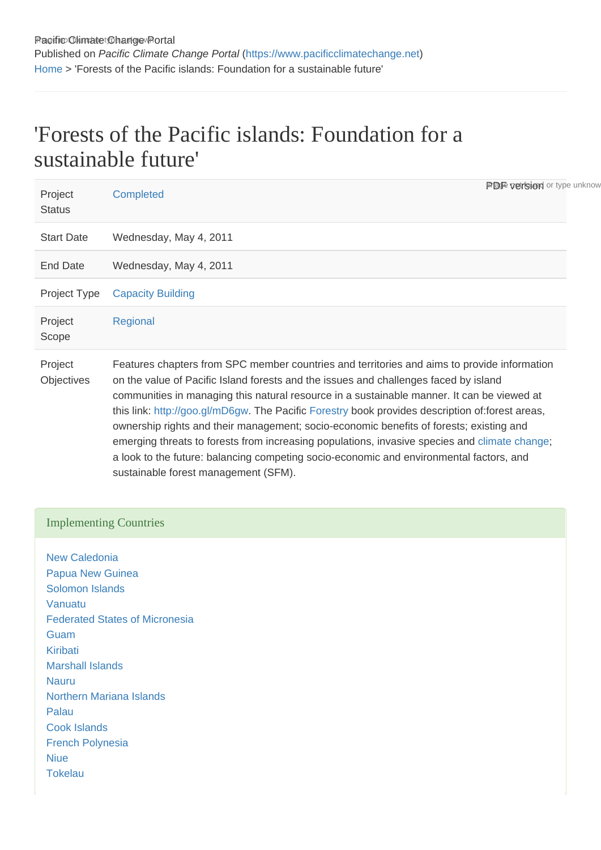# 'Forests of the Pacific islands: Foundation for a sustainable future'

| Project<br><b>Status</b> | <b>PDF</b> version or type unknow<br>Completed                                                                                                                                                                                                                                                                                                                                                                                                                                                                                                                                                                                                                                                                      |  |
|--------------------------|---------------------------------------------------------------------------------------------------------------------------------------------------------------------------------------------------------------------------------------------------------------------------------------------------------------------------------------------------------------------------------------------------------------------------------------------------------------------------------------------------------------------------------------------------------------------------------------------------------------------------------------------------------------------------------------------------------------------|--|
| <b>Start Date</b>        | Wednesday, May 4, 2011                                                                                                                                                                                                                                                                                                                                                                                                                                                                                                                                                                                                                                                                                              |  |
| End Date                 | Wednesday, May 4, 2011                                                                                                                                                                                                                                                                                                                                                                                                                                                                                                                                                                                                                                                                                              |  |
| Project Type             | <b>Capacity Building</b>                                                                                                                                                                                                                                                                                                                                                                                                                                                                                                                                                                                                                                                                                            |  |
| Project<br>Scope         | Regional                                                                                                                                                                                                                                                                                                                                                                                                                                                                                                                                                                                                                                                                                                            |  |
| Project<br>Objectives    | Features chapters from SPC member countries and territories and aims to provide information<br>on the value of Pacific Island forests and the issues and challenges faced by island<br>communities in managing this natural resource in a sustainable manner. It can be viewed at<br>this link: http://goo.gl/mD6gw. The Pacific Forestry book provides description of:forest areas,<br>ownership rights and their management; socio-economic benefits of forests; existing and<br>emerging threats to forests from increasing populations, invasive species and climate change;<br>a look to the future: balancing competing socio-economic and environmental factors, and<br>sustainable forest management (SFM). |  |

## Implementing Countries

[New Caledonia](https://www.pacificclimatechange.net/node/9554) [Papua New Guinea](https://www.pacificclimatechange.net/node/58) [Solomon Islands](https://www.pacificclimatechange.net/node/59) [Vanuatu](https://www.pacificclimatechange.net/node/63) [Federated States of Micronesia](https://www.pacificclimatechange.net/node/9482) **[Guam](https://www.pacificclimatechange.net/node/9506)** [Kiribati](https://www.pacificclimatechange.net/node/52) [Marshall Islands](https://www.pacificclimatechange.net/node/53) [Nauru](https://www.pacificclimatechange.net/node/54) [Northern Mariana Islands](https://www.pacificclimatechange.net/node/9567) [Palau](https://www.pacificclimatechange.net/node/57) [Cook Islands](https://www.pacificclimatechange.net/node/9481) [French Polynesia](https://www.pacificclimatechange.net/node/9566) **[Niue](https://www.pacificclimatechange.net/node/55) [Tokelau](https://www.pacificclimatechange.net/node/60)**